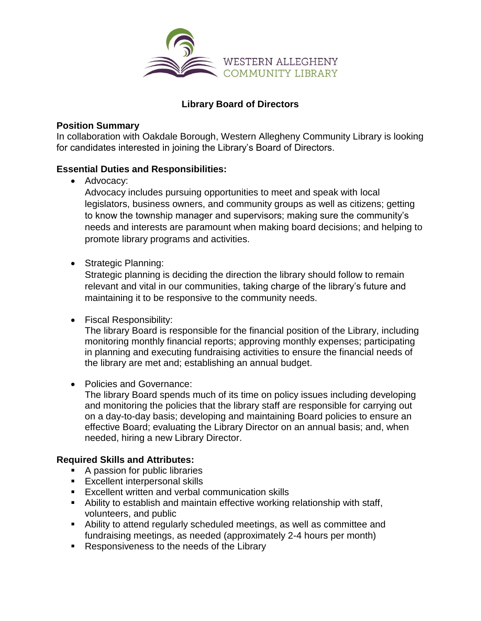

# **Library Board of Directors**

### **Position Summary**

In collaboration with Oakdale Borough, Western Allegheny Community Library is looking for candidates interested in joining the Library's Board of Directors.

# **Essential Duties and Responsibilities:**

• Advocacy:

Advocacy includes pursuing opportunities to meet and speak with local legislators, business owners, and community groups as well as citizens; getting to know the township manager and supervisors; making sure the community's needs and interests are paramount when making board decisions; and helping to promote library programs and activities.

• Strategic Planning:

Strategic planning is deciding the direction the library should follow to remain relevant and vital in our communities, taking charge of the library's future and maintaining it to be responsive to the community needs.

• Fiscal Responsibility:

The library Board is responsible for the financial position of the Library, including monitoring monthly financial reports; approving monthly expenses; participating in planning and executing fundraising activities to ensure the financial needs of the library are met and; establishing an annual budget.

• Policies and Governance:

The library Board spends much of its time on policy issues including developing and monitoring the policies that the library staff are responsible for carrying out on a day-to-day basis; developing and maintaining Board policies to ensure an effective Board; evaluating the Library Director on an annual basis; and, when needed, hiring a new Library Director.

# **Required Skills and Attributes:**

- A passion for public libraries
- **Excellent interpersonal skills**
- Excellent written and verbal communication skills
- Ability to establish and maintain effective working relationship with staff, volunteers, and public
- Ability to attend regularly scheduled meetings, as well as committee and fundraising meetings, as needed (approximately 2-4 hours per month)
- Responsiveness to the needs of the Library